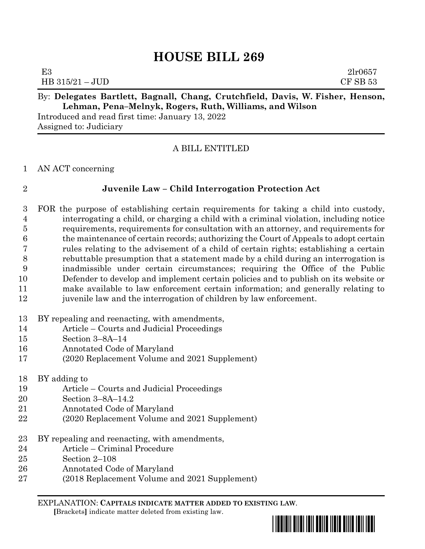# **HOUSE BILL 269**

| E3                | 21r0657  |
|-------------------|----------|
| $HB 315/21 - JUD$ | CF SB 53 |
|                   |          |

### By: **Delegates Bartlett, Bagnall, Chang, Crutchfield, Davis, W. Fisher, Henson, Lehman, Pena–Melnyk, Rogers, Ruth, Williams, and Wilson**

Introduced and read first time: January 13, 2022 Assigned to: Judiciary

### A BILL ENTITLED

AN ACT concerning

# **Juvenile Law – Child Interrogation Protection Act**

 FOR the purpose of establishing certain requirements for taking a child into custody, interrogating a child, or charging a child with a criminal violation, including notice requirements, requirements for consultation with an attorney, and requirements for the maintenance of certain records; authorizing the Court of Appeals to adopt certain rules relating to the advisement of a child of certain rights; establishing a certain rebuttable presumption that a statement made by a child during an interrogation is inadmissible under certain circumstances; requiring the Office of the Public Defender to develop and implement certain policies and to publish on its website or make available to law enforcement certain information; and generally relating to juvenile law and the interrogation of children by law enforcement.

- BY repealing and reenacting, with amendments,
- Article Courts and Judicial Proceedings
- Section 3–8A–14
- Annotated Code of Maryland
- (2020 Replacement Volume and 2021 Supplement)
- BY adding to
- Article Courts and Judicial Proceedings
- Section 3–8A–14.2
- Annotated Code of Maryland
- (2020 Replacement Volume and 2021 Supplement)
- BY repealing and reenacting, with amendments,
- Article Criminal Procedure
- Section 2–108
- Annotated Code of Maryland
- (2018 Replacement Volume and 2021 Supplement)

EXPLANATION: **CAPITALS INDICATE MATTER ADDED TO EXISTING LAW**.  **[**Brackets**]** indicate matter deleted from existing law.

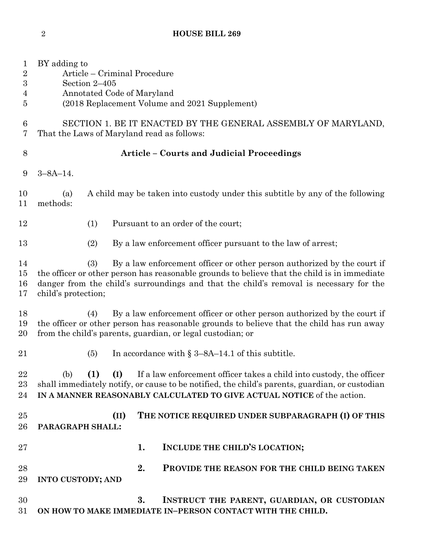| $\mathbf 1$<br>$\overline{2}$<br>$\boldsymbol{3}$<br>4<br>5 | BY adding to<br>Article – Criminal Procedure<br>Section 2-405<br>Annotated Code of Maryland<br>(2018 Replacement Volume and 2021 Supplement)                                                                                                                                                    |  |  |  |  |  |  |
|-------------------------------------------------------------|-------------------------------------------------------------------------------------------------------------------------------------------------------------------------------------------------------------------------------------------------------------------------------------------------|--|--|--|--|--|--|
| 6<br>7                                                      | SECTION 1. BE IT ENACTED BY THE GENERAL ASSEMBLY OF MARYLAND,<br>That the Laws of Maryland read as follows:                                                                                                                                                                                     |  |  |  |  |  |  |
| 8                                                           | Article - Courts and Judicial Proceedings                                                                                                                                                                                                                                                       |  |  |  |  |  |  |
| 9                                                           | $3 - 8A - 14$ .                                                                                                                                                                                                                                                                                 |  |  |  |  |  |  |
| 10<br>11                                                    | A child may be taken into custody under this subtitle by any of the following<br>(a)<br>methods:                                                                                                                                                                                                |  |  |  |  |  |  |
| 12                                                          | Pursuant to an order of the court;<br>(1)                                                                                                                                                                                                                                                       |  |  |  |  |  |  |
| 13                                                          | By a law enforcement officer pursuant to the law of arrest;<br>(2)                                                                                                                                                                                                                              |  |  |  |  |  |  |
| 14<br>$15\,$<br>16<br>17                                    | By a law enforcement officer or other person authorized by the court if<br>(3)<br>the officer or other person has reasonable grounds to believe that the child is in immediate<br>danger from the child's surroundings and that the child's removal is necessary for the<br>child's protection; |  |  |  |  |  |  |
| 18<br>19<br>20                                              | By a law enforcement officer or other person authorized by the court if<br>(4)<br>the officer or other person has reasonable grounds to believe that the child has run away<br>from the child's parents, guardian, or legal custodian; or                                                       |  |  |  |  |  |  |
| 21                                                          | In accordance with $\S 3-8A-14.1$ of this subtitle.<br>(5)                                                                                                                                                                                                                                      |  |  |  |  |  |  |
| 22<br>23<br>24                                              | (I)<br>If a law enforcement officer takes a child into custody, the officer<br>(b)<br>(1)<br>shall immediately notify, or cause to be notified, the child's parents, guardian, or custodian<br>IN A MANNER REASONABLY CALCULATED TO GIVE ACTUAL NOTICE of the action.                           |  |  |  |  |  |  |
| 25<br>26                                                    | THE NOTICE REQUIRED UNDER SUBPARAGRAPH (I) OF THIS<br>(II)<br>PARAGRAPH SHALL:                                                                                                                                                                                                                  |  |  |  |  |  |  |
| $27\,$                                                      | INCLUDE THE CHILD'S LOCATION;<br>1.                                                                                                                                                                                                                                                             |  |  |  |  |  |  |
| 28<br>29                                                    | 2.<br>PROVIDE THE REASON FOR THE CHILD BEING TAKEN<br><b>INTO CUSTODY; AND</b>                                                                                                                                                                                                                  |  |  |  |  |  |  |
| 30<br>31                                                    | 3.<br>INSTRUCT THE PARENT, GUARDIAN, OR CUSTODIAN<br>ON HOW TO MAKE IMMEDIATE IN-PERSON CONTACT WITH THE CHILD.                                                                                                                                                                                 |  |  |  |  |  |  |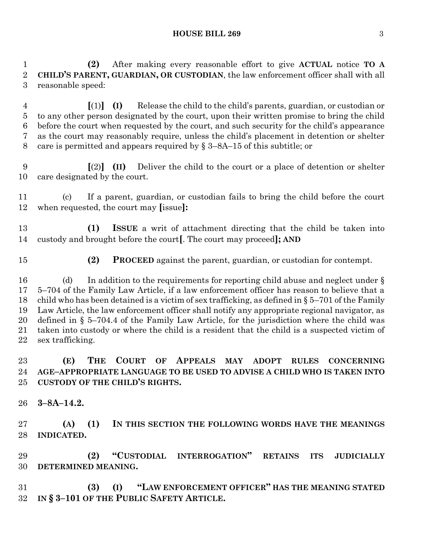#### **HOUSE BILL 269** 3

 **(2)** After making every reasonable effort to give **ACTUAL** notice **TO A CHILD'S PARENT, GUARDIAN, OR CUSTODIAN**, the law enforcement officer shall with all reasonable speed:

 **[**(1)**] (I)** Release the child to the child's parents, guardian, or custodian or to any other person designated by the court, upon their written promise to bring the child before the court when requested by the court, and such security for the child's appearance as the court may reasonably require, unless the child's placement in detention or shelter 8 care is permitted and appears required by  $\S$  3–8A–15 of this subtitle; or

 **[**(2)**] (II)** Deliver the child to the court or a place of detention or shelter care designated by the court.

 (c) If a parent, guardian, or custodian fails to bring the child before the court when requested, the court may **[**issue**]:**

 **(1) ISSUE** a writ of attachment directing that the child be taken into custody and brought before the court**[**. The court may proceed**]; AND**

**(2) PROCEED** against the parent, guardian, or custodian for contempt.

16 (d) In addition to the requirements for reporting child abuse and neglect under § 5–704 of the Family Law Article, if a law enforcement officer has reason to believe that a 18 child who has been detained is a victim of sex trafficking, as defined in  $\S 5-701$  of the Family Law Article, the law enforcement officer shall notify any appropriate regional navigator, as defined in § 5–704.4 of the Family Law Article, for the jurisdiction where the child was taken into custody or where the child is a resident that the child is a suspected victim of sex trafficking.

### **(E) THE COURT OF APPEALS MAY ADOPT RULES CONCERNING AGE–APPROPRIATE LANGUAGE TO BE USED TO ADVISE A CHILD WHO IS TAKEN INTO CUSTODY OF THE CHILD'S RIGHTS.**

**3–8A–14.2.**

 **(A) (1) IN THIS SECTION THE FOLLOWING WORDS HAVE THE MEANINGS INDICATED.**

 **(2) "CUSTODIAL INTERROGATION" RETAINS ITS JUDICIALLY DETERMINED MEANING.**

 **(3) (I) "LAW ENFORCEMENT OFFICER" HAS THE MEANING STATED IN § 3–101 OF THE PUBLIC SAFETY ARTICLE.**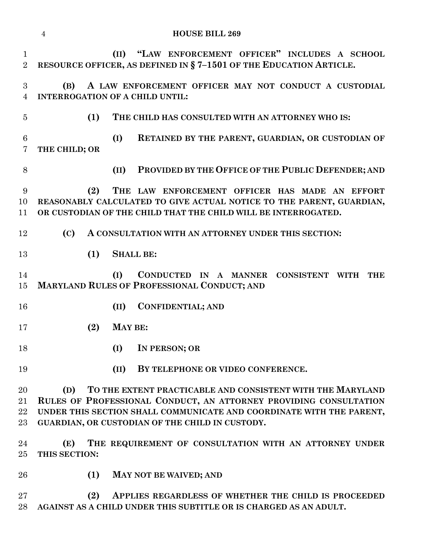|                                | <b>HOUSE BILL 269</b><br>$\overline{4}$                                                                                                                                                                                                                           |     |         |                                                                                                                                                                                          |  |  |
|--------------------------------|-------------------------------------------------------------------------------------------------------------------------------------------------------------------------------------------------------------------------------------------------------------------|-----|---------|------------------------------------------------------------------------------------------------------------------------------------------------------------------------------------------|--|--|
| $\mathbf{1}$<br>$\overline{2}$ |                                                                                                                                                                                                                                                                   |     |         | (II) "LAW ENFORCEMENT OFFICER" INCLUDES A SCHOOL<br>RESOURCE OFFICER, AS DEFINED IN §7-1501 OF THE EDUCATION ARTICLE.                                                                    |  |  |
| 3<br>$\overline{4}$            | A LAW ENFORCEMENT OFFICER MAY NOT CONDUCT A CUSTODIAL<br>(B)<br><b>INTERROGATION OF A CHILD UNTIL:</b>                                                                                                                                                            |     |         |                                                                                                                                                                                          |  |  |
| $\overline{5}$                 |                                                                                                                                                                                                                                                                   | (1) |         | THE CHILD HAS CONSULTED WITH AN ATTORNEY WHO IS:                                                                                                                                         |  |  |
| $6\phantom{.}6$<br>7           | THE CHILD; OR                                                                                                                                                                                                                                                     |     | (I)     | RETAINED BY THE PARENT, GUARDIAN, OR CUSTODIAN OF                                                                                                                                        |  |  |
| 8                              |                                                                                                                                                                                                                                                                   |     | (II)    | PROVIDED BY THE OFFICE OF THE PUBLIC DEFENDER; AND                                                                                                                                       |  |  |
| 9<br>10<br>11                  |                                                                                                                                                                                                                                                                   | (2) |         | THE LAW ENFORCEMENT OFFICER HAS MADE AN EFFORT<br>REASONABLY CALCULATED TO GIVE ACTUAL NOTICE TO THE PARENT, GUARDIAN,<br>OR CUSTODIAN OF THE CHILD THAT THE CHILD WILL BE INTERROGATED. |  |  |
| 12                             | $\rm (C)$                                                                                                                                                                                                                                                         |     |         | A CONSULTATION WITH AN ATTORNEY UNDER THIS SECTION:                                                                                                                                      |  |  |
| 13                             |                                                                                                                                                                                                                                                                   | (1) |         | <b>SHALL BE:</b>                                                                                                                                                                         |  |  |
| 14<br>15                       |                                                                                                                                                                                                                                                                   |     | (I)     | CONDUCTED IN A MANNER CONSISTENT WITH<br><b>THE</b><br>MARYLAND RULES OF PROFESSIONAL CONDUCT; AND                                                                                       |  |  |
| 16                             |                                                                                                                                                                                                                                                                   |     | (II)    | <b>CONFIDENTIAL; AND</b>                                                                                                                                                                 |  |  |
| 17                             |                                                                                                                                                                                                                                                                   | (2) | MAY BE: |                                                                                                                                                                                          |  |  |
| 18                             |                                                                                                                                                                                                                                                                   |     | (I)     | IN PERSON; OR                                                                                                                                                                            |  |  |
| 19                             |                                                                                                                                                                                                                                                                   |     | (II)    | BY TELEPHONE OR VIDEO CONFERENCE.                                                                                                                                                        |  |  |
| $20\,$<br>21<br>22<br>$23\,$   | TO THE EXTENT PRACTICABLE AND CONSISTENT WITH THE MARYLAND<br>(D)<br>RULES OF PROFESSIONAL CONDUCT, AN ATTORNEY PROVIDING CONSULTATION<br>UNDER THIS SECTION SHALL COMMUNICATE AND COORDINATE WITH THE PARENT,<br>GUARDIAN, OR CUSTODIAN OF THE CHILD IN CUSTODY. |     |         |                                                                                                                                                                                          |  |  |
| 24<br>$25\,$                   | (E)<br>THIS SECTION:                                                                                                                                                                                                                                              |     |         | THE REQUIREMENT OF CONSULTATION WITH AN ATTORNEY UNDER                                                                                                                                   |  |  |
| $26\,$                         |                                                                                                                                                                                                                                                                   | (1) |         | <b>MAY NOT BE WAIVED; AND</b>                                                                                                                                                            |  |  |
| $27\,$<br>28                   |                                                                                                                                                                                                                                                                   | (2) |         | APPLIES REGARDLESS OF WHETHER THE CHILD IS PROCEEDED<br>AGAINST AS A CHILD UNDER THIS SUBTITLE OR IS CHARGED AS AN ADULT.                                                                |  |  |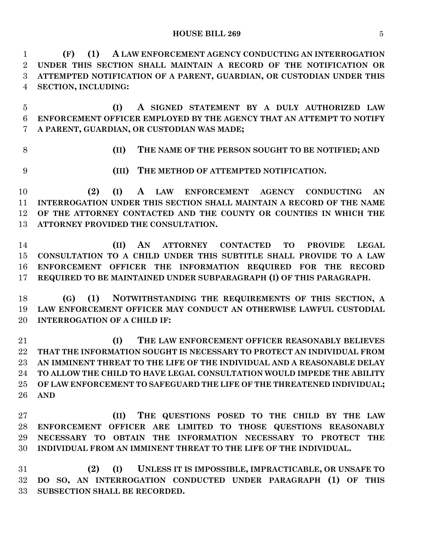**HOUSE BILL 269** 5

 **(F) (1) A LAW ENFORCEMENT AGENCY CONDUCTING AN INTERROGATION UNDER THIS SECTION SHALL MAINTAIN A RECORD OF THE NOTIFICATION OR ATTEMPTED NOTIFICATION OF A PARENT, GUARDIAN, OR CUSTODIAN UNDER THIS SECTION, INCLUDING:**

 **(I) A SIGNED STATEMENT BY A DULY AUTHORIZED LAW ENFORCEMENT OFFICER EMPLOYED BY THE AGENCY THAT AN ATTEMPT TO NOTIFY A PARENT, GUARDIAN, OR CUSTODIAN WAS MADE;**

**(II) THE NAME OF THE PERSON SOUGHT TO BE NOTIFIED; AND**

**(III) THE METHOD OF ATTEMPTED NOTIFICATION.**

 **(2) (I) A LAW ENFORCEMENT AGENCY CONDUCTING AN INTERROGATION UNDER THIS SECTION SHALL MAINTAIN A RECORD OF THE NAME OF THE ATTORNEY CONTACTED AND THE COUNTY OR COUNTIES IN WHICH THE ATTORNEY PROVIDED THE CONSULTATION.**

 **(II) AN ATTORNEY CONTACTED TO PROVIDE LEGAL CONSULTATION TO A CHILD UNDER THIS SUBTITLE SHALL PROVIDE TO A LAW ENFORCEMENT OFFICER THE INFORMATION REQUIRED FOR THE RECORD REQUIRED TO BE MAINTAINED UNDER SUBPARAGRAPH (I) OF THIS PARAGRAPH.**

 **(G) (1) NOTWITHSTANDING THE REQUIREMENTS OF THIS SECTION, A LAW ENFORCEMENT OFFICER MAY CONDUCT AN OTHERWISE LAWFUL CUSTODIAL INTERROGATION OF A CHILD IF:**

 **(I) THE LAW ENFORCEMENT OFFICER REASONABLY BELIEVES THAT THE INFORMATION SOUGHT IS NECESSARY TO PROTECT AN INDIVIDUAL FROM AN IMMINENT THREAT TO THE LIFE OF THE INDIVIDUAL AND A REASONABLE DELAY TO ALLOW THE CHILD TO HAVE LEGAL CONSULTATION WOULD IMPEDE THE ABILITY OF LAW ENFORCEMENT TO SAFEGUARD THE LIFE OF THE THREATENED INDIVIDUAL; AND**

 **(II) THE QUESTIONS POSED TO THE CHILD BY THE LAW ENFORCEMENT OFFICER ARE LIMITED TO THOSE QUESTIONS REASONABLY NECESSARY TO OBTAIN THE INFORMATION NECESSARY TO PROTECT THE INDIVIDUAL FROM AN IMMINENT THREAT TO THE LIFE OF THE INDIVIDUAL.**

 **(2) (I) UNLESS IT IS IMPOSSIBLE, IMPRACTICABLE, OR UNSAFE TO DO SO, AN INTERROGATION CONDUCTED UNDER PARAGRAPH (1) OF THIS SUBSECTION SHALL BE RECORDED.**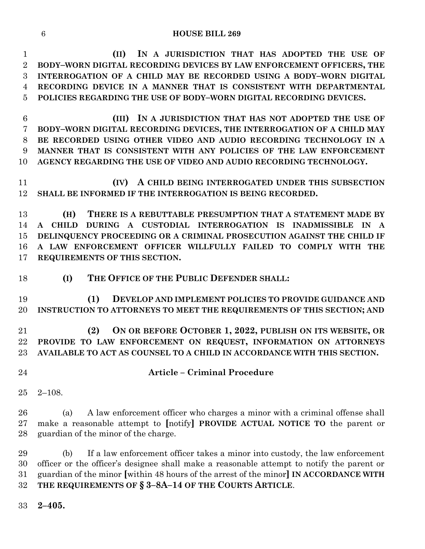#### **HOUSE BILL 269**

 **(II) IN A JURISDICTION THAT HAS ADOPTED THE USE OF BODY–WORN DIGITAL RECORDING DEVICES BY LAW ENFORCEMENT OFFICERS, THE INTERROGATION OF A CHILD MAY BE RECORDED USING A BODY–WORN DIGITAL RECORDING DEVICE IN A MANNER THAT IS CONSISTENT WITH DEPARTMENTAL POLICIES REGARDING THE USE OF BODY–WORN DIGITAL RECORDING DEVICES.**

 **(III) IN A JURISDICTION THAT HAS NOT ADOPTED THE USE OF BODY–WORN DIGITAL RECORDING DEVICES, THE INTERROGATION OF A CHILD MAY BE RECORDED USING OTHER VIDEO AND AUDIO RECORDING TECHNOLOGY IN A MANNER THAT IS CONSISTENT WITH ANY POLICIES OF THE LAW ENFORCEMENT AGENCY REGARDING THE USE OF VIDEO AND AUDIO RECORDING TECHNOLOGY.**

 **(IV) A CHILD BEING INTERROGATED UNDER THIS SUBSECTION SHALL BE INFORMED IF THE INTERROGATION IS BEING RECORDED.**

 **(H) THERE IS A REBUTTABLE PRESUMPTION THAT A STATEMENT MADE BY A CHILD DURING A CUSTODIAL INTERROGATION IS INADMISSIBLE IN A DELINQUENCY PROCEEDING OR A CRIMINAL PROSECUTION AGAINST THE CHILD IF A LAW ENFORCEMENT OFFICER WILLFULLY FAILED TO COMPLY WITH THE REQUIREMENTS OF THIS SECTION.**

**(I) THE OFFICE OF THE PUBLIC DEFENDER SHALL:**

 **(1) DEVELOP AND IMPLEMENT POLICIES TO PROVIDE GUIDANCE AND INSTRUCTION TO ATTORNEYS TO MEET THE REQUIREMENTS OF THIS SECTION; AND**

 **(2) ON OR BEFORE OCTOBER 1, 2022, PUBLISH ON ITS WEBSITE, OR PROVIDE TO LAW ENFORCEMENT ON REQUEST, INFORMATION ON ATTORNEYS AVAILABLE TO ACT AS COUNSEL TO A CHILD IN ACCORDANCE WITH THIS SECTION.**

- 
- **Article – Criminal Procedure**
- 2–108.

 (a) A law enforcement officer who charges a minor with a criminal offense shall make a reasonable attempt to **[**notify**] PROVIDE ACTUAL NOTICE TO** the parent or guardian of the minor of the charge.

 (b) If a law enforcement officer takes a minor into custody, the law enforcement officer or the officer's designee shall make a reasonable attempt to notify the parent or guardian of the minor **[**within 48 hours of the arrest of the minor**] IN ACCORDANCE WITH THE REQUIREMENTS OF § 3–8A–14 OF THE COURTS ARTICLE**.

**2–405.**